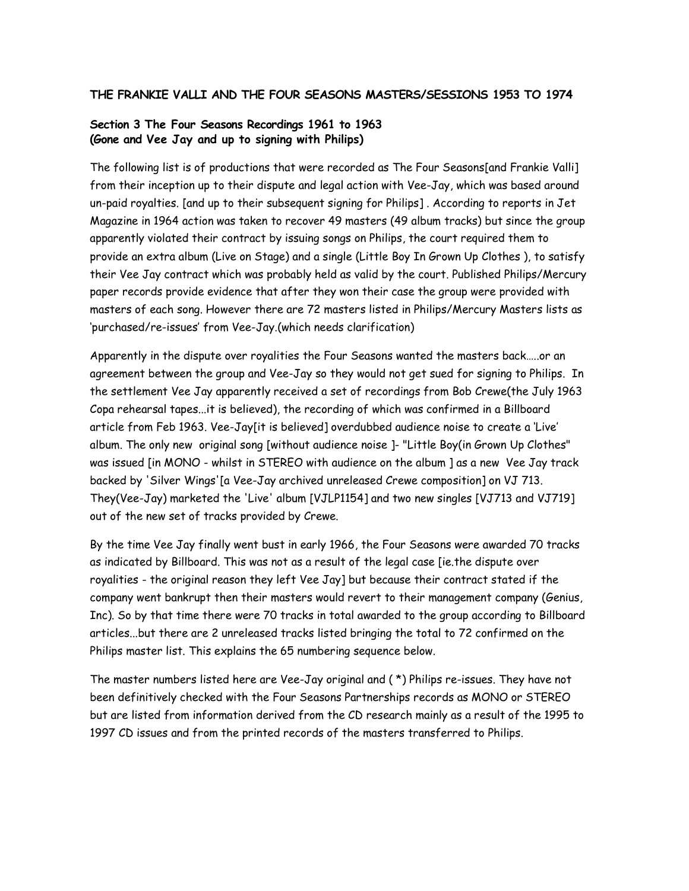# Section 3 The Four Seasons Recordings 1961 to 1963 (Gone and Vee Jay and up to signing with Philips)

The following list is of productions that were recorded as The Four Seasons[and Frankie Valli] from their inception up to their dispute and legal action with Vee-Jay, which was based around un-paid royalties. [and up to their subsequent signing for Philips] . According to reports in Jet Magazine in 1964 action was taken to recover 49 masters (49 album tracks) but since the group apparently violated their contract by issuing songs on Philips, the court required them to provide an extra album (Live on Stage) and a single (Little Boy In Grown Up Clothes ), to satisfy their Vee Jay contract which was probably held as valid by the court. Published Philips/Mercury paper records provide evidence that after they won their case the group were provided with masters of each song. However there are 72 masters listed in Philips/Mercury Masters lists as 'purchased/re-issues' from Vee-Jay.(which needs clarification)

Apparently in the dispute over royalities the Four Seasons wanted the masters back…..or an agreement between the group and Vee-Jay so they would not get sued for signing to Philips. In the settlement Vee Jay apparently received a set of recordings from Bob Crewe(the July 1963 Copa rehearsal tapes...it is believed), the recording of which was confirmed in a Billboard article from Feb 1963. Vee-Jay[it is believed] overdubbed audience noise to create a 'Live' album. The only new original song [without audience noise ]- "Little Boy(in Grown Up Clothes" was issued [in MONO - whilst in STEREO with audience on the album ] as a new Vee Jay track backed by 'Silver Wings'[a Vee-Jay archived unreleased Crewe composition] on VJ 713. They(Vee-Jay) marketed the 'Live' album [VJLP1154] and two new singles [VJ713 and VJ719] out of the new set of tracks provided by Crewe.

By the time Vee Jay finally went bust in early 1966, the Four Seasons were awarded 70 tracks as indicated by Billboard. This was not as a result of the legal case [ie.the dispute over royalities - the original reason they left Vee Jay] but because their contract stated if the company went bankrupt then their masters would revert to their management company (Genius, Inc). So by that time there were 70 tracks in total awarded to the group according to Billboard articles...but there are 2 unreleased tracks listed bringing the total to 72 confirmed on the Philips master list. This explains the 65 numbering sequence below.

The master numbers listed here are Vee-Jay original and ( \*) Philips re-issues. They have not been definitively checked with the Four Seasons Partnerships records as MONO or STEREO but are listed from information derived from the CD research mainly as a result of the 1995 to 1997 CD issues and from the printed records of the masters transferred to Philips.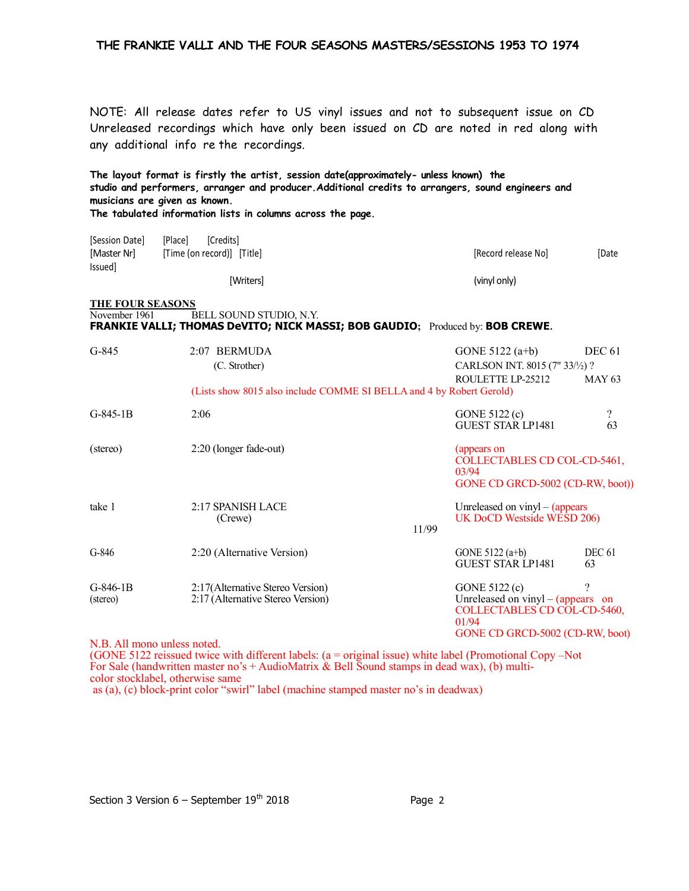NOTE: All release dates refer to US vinyl issues and not to subsequent issue on CD Unreleased recordings which have only been issued on CD are noted in red along with any additional info re the recordings.

|                                          | The layout format is firstly the artist, session date(approximately- unless known) the<br>studio and performers, arranger and producer. Additional credits to arrangers, sound engineers and<br>musicians are given as known.<br>The tabulated information lists in columns across the page. |                                       |                   |
|------------------------------------------|----------------------------------------------------------------------------------------------------------------------------------------------------------------------------------------------------------------------------------------------------------------------------------------------|---------------------------------------|-------------------|
| [Session Date]                           | [Credits]<br>[Place]                                                                                                                                                                                                                                                                         |                                       |                   |
| [Master Nr]                              | [Time (on record)] [Title]                                                                                                                                                                                                                                                                   | [Record release No]                   | [Date             |
| Issued]                                  | [Writers]                                                                                                                                                                                                                                                                                    | (vinyl only)                          |                   |
| <b>THE FOUR SEASONS</b><br>November 1961 | BELL SOUND STUDIO, N.Y.<br>FRANKIE VALLI; THOMAS DeVITO; NICK MASSI; BOB GAUDIO; Produced by: BOB CREWE.                                                                                                                                                                                     |                                       |                   |
| $G-845$                                  | 2:07 BERMUDA                                                                                                                                                                                                                                                                                 | GONE $5122(a+b)$                      | <b>DEC 61</b>     |
|                                          | (C. Strother)                                                                                                                                                                                                                                                                                | CARLSON INT. 8015 (7" 33/1/2) ?       |                   |
|                                          | (Lists show 8015 also include COMME SI BELLA and 4 by Robert Gerold)                                                                                                                                                                                                                         | ROULETTE LP-25212                     | <b>MAY 63</b>     |
| $G-845-1B$                               | 2:06                                                                                                                                                                                                                                                                                         | GONE 5122 (c)                         | $\overline{?}$    |
|                                          |                                                                                                                                                                                                                                                                                              | <b>GUEST STAR LP1481</b>              | 63                |
| (stereo)                                 | 2:20 (longer fade-out)                                                                                                                                                                                                                                                                       | (appears on                           |                   |
|                                          |                                                                                                                                                                                                                                                                                              | COLLECTABLES CD COL-CD-5461,<br>03/94 |                   |
|                                          |                                                                                                                                                                                                                                                                                              | GONE CD GRCD-5002 (CD-RW, boot))      |                   |
| take 1                                   | 2:17 SPANISH LACE                                                                                                                                                                                                                                                                            | Unreleased on $\nu$ inyl – (appears   |                   |
|                                          | (Crewe)                                                                                                                                                                                                                                                                                      | UK DoCD Westside WESD 206)<br>11/99   |                   |
| $G-846$                                  | 2:20 (Alternative Version)                                                                                                                                                                                                                                                                   | GONE 5122 (a+b)                       | DEC <sub>61</sub> |
|                                          |                                                                                                                                                                                                                                                                                              | <b>GUEST STAR LP1481</b>              | 63                |
| $G-846-1B$                               | 2:17(Alternative Stereo Version)                                                                                                                                                                                                                                                             | GONE 5122 (c)                         | ?                 |
| (stereo)                                 | 2:17 (Alternative Stereo Version)                                                                                                                                                                                                                                                            | Unreleased on $vinyl - (appears)$ on  |                   |
|                                          |                                                                                                                                                                                                                                                                                              | COLLECTABLES CD COL-CD-5460,<br>01/94 |                   |
|                                          |                                                                                                                                                                                                                                                                                              | GONE CD GRCD-5002 (CD-RW, boot)       |                   |

N.B. All mono unless noted.

(GONE 5122 reissued twice with different labels: (a = original issue) white label (Promotional Copy –Not For Sale (handwritten master no's + AudioMatrix & Bell Sound stamps in dead wax), (b) multicolor stocklabel, otherwise same as (a), (c) block-print color "swirl" label (machine stamped master no's in deadwax)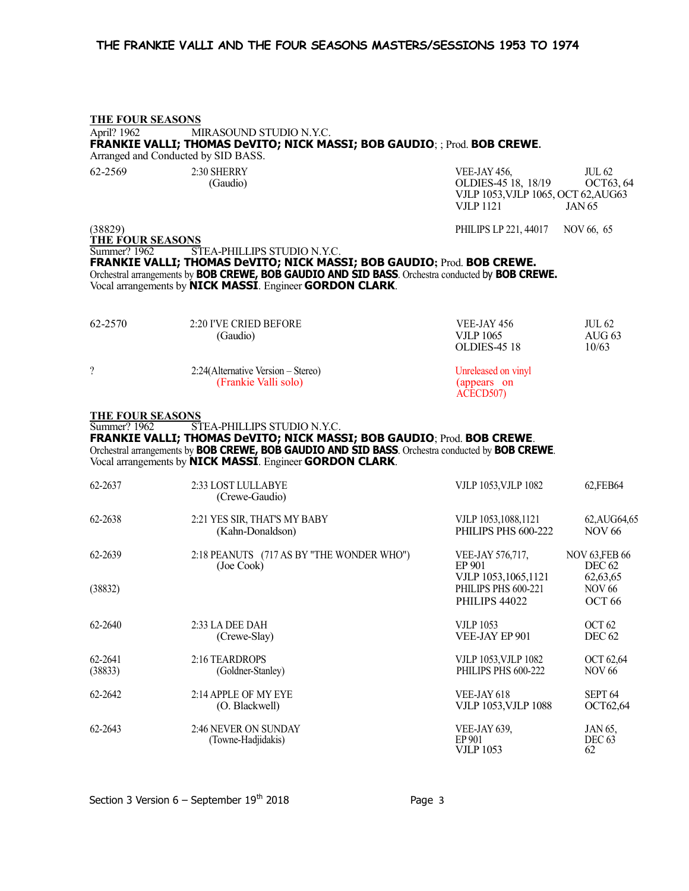# THE FOUR SEASONS April? 1962 MIRASOUND STUDIO N.Y.C. FRANKIE VALLI; THOMAS DeVITO; NICK MASSI; BOB GAUDIO; ; Prod. BOB CREWE. Arranged and Conducted by SID BASS. 62-2569 2:30 SHERRY 2:30 SHERRY VEE-JAY 456, JUL 62 (Gaudio) OLDIES-45 18, 18/19 OCT63, 64 VJLP 1053,VJLP 1065, OCT 62,AUG63 VJLP 1121 JAN 65 (38829) PHILIPS LP 221, 44017 NOV 66, 65 THE FOUR SEASONS Summer? 1962 STEA-PHILLIPS STUDIO N.Y.C. FRANKIE VALLI; THOMAS DeVITO; NICK MASSI; BOB GAUDIO; Prod. BOB CREWE. Orchestral arrangements by BOB CREWE, BOB GAUDIO AND SID BASS. Orchestra conducted by BOB CREWE. Vocal arrangements by NICK MASSI. Engineer GORDON CLARK. 62-2570 2:20 I'VE CRIED BEFORE VEE-JAY 456 JUL 62 (Gaudio) VJLP 1065 AUG 63 OLDIES-45 18 10/63 ? 2:24(Alternative Version – Stereo) Unreleased on vinyl (Frankie Valli solo) (appears on ACECD507) THE FOUR SEASONS Summer? 1962 STEA-PHILLIPS STUDIO N.Y.C. FRANKIE VALLI; THOMAS DeVITO; NICK MASSI; BOB GAUDIO; Prod. BOB CREWE. Orchestral arrangements by BOB CREWE, BOB GAUDIO AND SID BASS. Orchestra conducted by BOB CREWE. Vocal arrangements by NICK MASSI. Engineer GORDON CLARK. 62-2637 2:33 LOST LULLABYE VJLP 1053,VJLP 1082 62,FEB64 (Crewe-Gaudio) 62-2638 2:21 YES SIR, THAT'S MY BABY VJLP 1053,1088,1121 62,AUG64,65 (Kahn-Donaldson) PHILIPS PHS 600-222 NOV 66 62-2639 2:18 PEANUTS (717 AS BY "THE WONDER WHO") VEE-JAY 576,717, NOV 63,FEB 66<br>(Joe Cook) FP 901 PFC 62 (Joe Cook) EP 901 DEC 62 VJLP 1053,1065,1121 62,63,65<br>
PHILIPS PHS 600-221 NOV 66  $(38832)$  PHILIPS PHS 600-221 PHILIPS 44022 OCT 66 62-2640 2:33 LA DEE DAH VJLP 1053 OCT 62 (Crewe-Slay) VEE-JAY EP 901 DEC 62 62-2641 2:16 TEARDROPS VJLP 1053,VJLP 1082 OCT 62,64 (38833) (Goldner-Stanley) PHILIPS PHS 600-222 NOV 66 62-2642 2:14 APPLE OF MY EYE SEPT 64 (O. Blackwell) VJLP 1053,VJLP 1088 OCT62,64 62-2643 2:46 NEVER ON SUNDAY VEE-JAY 639, JAN 65,<br>(Towne-Hadjidakis) EP 901 DEC 63 (Towne-Hadjidakis) EP 901 DEC 63 **VJLP** 1053 62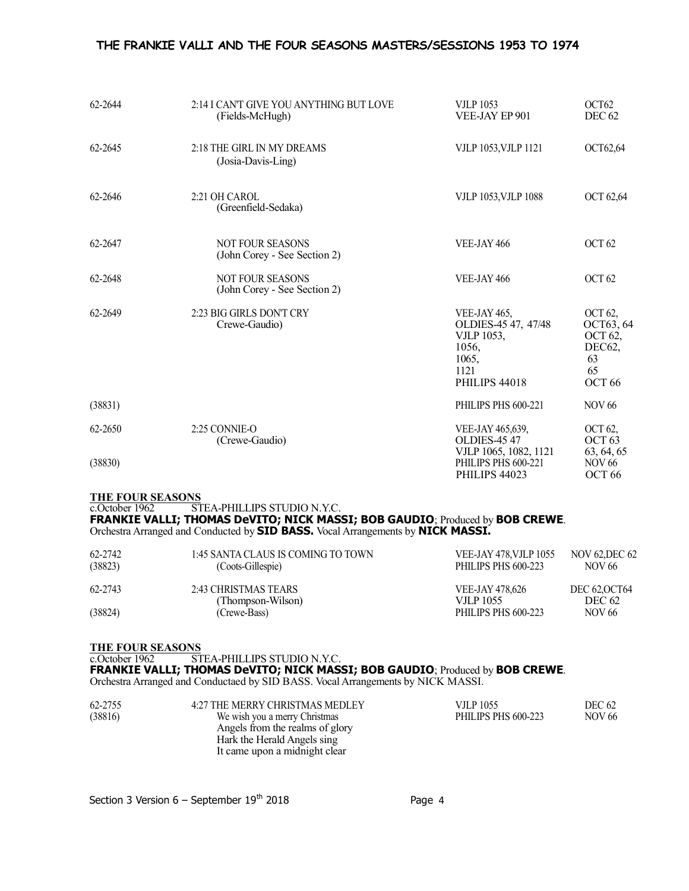| 62-2644 | 2:14 I CAN'T GIVE YOU ANYTHING BUT LOVE<br>(Fields-McHugh) | <b>VJLP 1053</b><br>VEE-JAY EP 901                                                                  | OCT <sub>62</sub><br>DEC <sub>62</sub>                                            |
|---------|------------------------------------------------------------|-----------------------------------------------------------------------------------------------------|-----------------------------------------------------------------------------------|
| 62-2645 | 2:18 THE GIRL IN MY DREAMS<br>(Josia-Davis-Ling)           | VJLP 1053, VJLP 1121                                                                                | OCT62,64                                                                          |
| 62-2646 | 2:21 OH CAROL<br>(Greenfield-Sedaka)                       | <b>VJLP 1053, VJLP 1088</b>                                                                         | <b>OCT 62,64</b>                                                                  |
| 62-2647 | <b>NOT FOUR SEASONS</b><br>(John Corey - See Section 2)    | VEE-JAY 466                                                                                         | OCT <sub>62</sub>                                                                 |
| 62-2648 | NOT FOUR SEASONS<br>(John Corey - See Section 2)           | VEE-JAY 466                                                                                         | OCT <sub>62</sub>                                                                 |
| 62-2649 | 2:23 BIG GIRLS DON'T CRY<br>Crewe-Gaudio)                  | VEE-JAY 465,<br>OLDIES-45 47, 47/48<br><b>VJLP 1053,</b><br>1056,<br>1065,<br>1121<br>PHILIPS 44018 | OCT 62,<br>OCT63, 64<br><b>OCT 62,</b><br>DEC62,<br>63<br>65<br>OCT <sub>66</sub> |
| (38831) |                                                            | PHILIPS PHS 600-221                                                                                 | <b>NOV 66</b>                                                                     |
| 62-2650 | 2:25 CONNIE-O<br>(Crewe-Gaudio)                            | VEE-JAY 465,639,<br><b>OLDIES-45 47</b>                                                             | OCT 62,<br>OCT <sub>63</sub>                                                      |
| (38830) |                                                            | VJLP 1065, 1082, 1121<br>PHILIPS PHS 600-221<br>PHILIPS 44023                                       | 63, 64, 65<br><b>NOV 66</b><br>OCT <sub>66</sub>                                  |

#### THE FOUR SEASONS

c.October 1962 STEA-PHILLIPS STUDIO N.Y.C.

# FRANKIE VALLI; THOMAS DeVITO; NICK MASSI; BOB GAUDIO; Produced by BOB CREWE.

Orchestra Arranged and Conducted by SID BASS. Vocal Arrangements by NICK MASSI.

| 62-2742<br>(38823) | 1:45 SANTA CLAUS IS COMING TO TOWN<br>(Coots-Gillespie) | <b>VEE-JAY 478, VJLP 1055</b><br>PHILIPS PHS 600-223 | NOV 62.DEC 62<br>NOV 66               |  |
|--------------------|---------------------------------------------------------|------------------------------------------------------|---------------------------------------|--|
| 62-2743            | 2:43 CHRISTMAS TEARS<br>(Thompson-Wilson)               | <b>VEE-JAY 478,626</b><br><b>VILP 1055</b>           | <b>DEC 62, OCT64</b><br><b>DEC 62</b> |  |
| (38824)            | (Crewe-Bass)                                            | PHILIPS PHS 600-223                                  | <b>NOV 66</b>                         |  |

#### THE FOUR SEASONS

c.October 1962 STEA-PHILLIPS STUDIO N.Y.C.

#### FRANKIE VALLI; THOMAS DeVITO; NICK MASSI; BOB GAUDIO; Produced by BOB CREWE.

Orchestra Arranged and Conductaed by SID BASS. Vocal Arrangements by NICK MASSI.

| 62-2755 | 4:27 THE MERRY CHRISTMAS MEDLEY | VJLP 1055           | <b>DEC 62</b> |  |
|---------|---------------------------------|---------------------|---------------|--|
| (38816) | We wish you a merry Christmas   | PHILIPS PHS 600-223 | NOV 66        |  |
|         | Angels from the realms of glory |                     |               |  |
|         | Hark the Herald Angels sing     |                     |               |  |
|         | It came upon a midnight clear   |                     |               |  |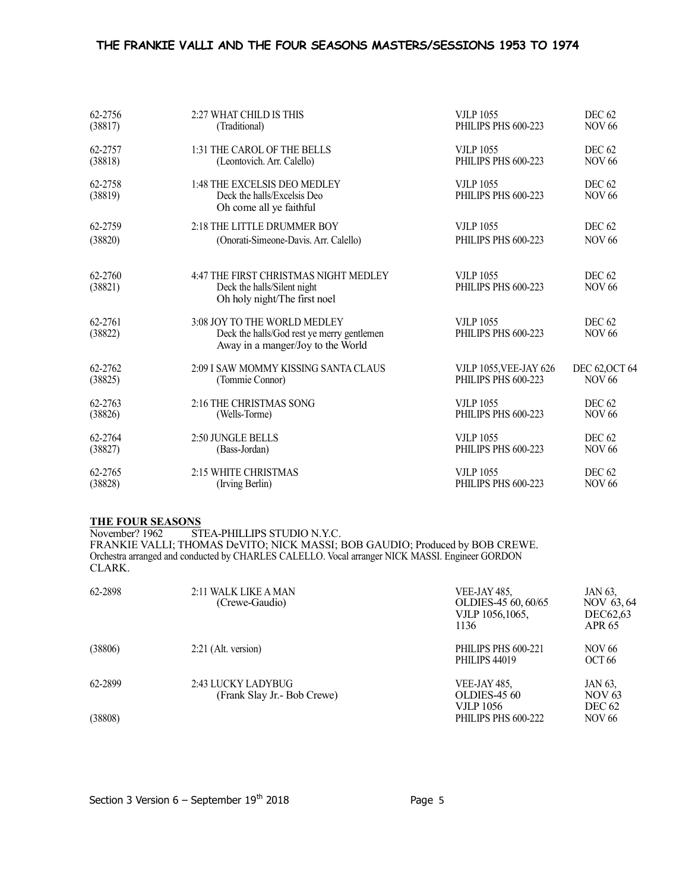| 62-2756            | 2:27 WHAT CHILD IS THIS                                                                                         | <b>VJLP 1055</b>                        | <b>DEC 62</b>                      |  |
|--------------------|-----------------------------------------------------------------------------------------------------------------|-----------------------------------------|------------------------------------|--|
| (38817)            | (Traditional)                                                                                                   | PHILIPS PHS 600-223                     | <b>NOV 66</b>                      |  |
| 62-2757            | 1:31 THE CAROL OF THE BELLS                                                                                     | <b>VJLP 1055</b>                        | DEC <sub>62</sub>                  |  |
| (38818)            | (Leontovich. Arr. Calello)                                                                                      | PHILIPS PHS 600-223                     | <b>NOV 66</b>                      |  |
| 62-2758<br>(38819) | 1:48 THE EXCELSIS DEO MEDLEY<br>Deck the halls/Excelsis Deo<br>Oh come all ye faithful                          | <b>VJLP 1055</b><br>PHILIPS PHS 600-223 | <b>DEC 62</b><br><b>NOV 66</b>     |  |
| 62-2759            | 2:18 THE LITTLE DRUMMER BOY                                                                                     | <b>VJLP 1055</b>                        | <b>DEC 62</b>                      |  |
| (38820)            | (Onorati-Simeone-Davis. Arr. Calello)                                                                           | PHILIPS PHS 600-223                     | <b>NOV 66</b>                      |  |
| 62-2760<br>(38821) | 4:47 THE FIRST CHRISTMAS NIGHT MEDLEY<br>Deck the halls/Silent night<br>Oh holy night/The first noel            | <b>VJLP 1055</b><br>PHILIPS PHS 600-223 | <b>DEC 62</b><br><b>NOV 66</b>     |  |
| 62-2761<br>(38822) | 3:08 JOY TO THE WORLD MEDLEY<br>Deck the halls/God rest ye merry gentlemen<br>Away in a manger/Joy to the World | <b>VJLP 1055</b><br>PHILIPS PHS 600-223 | DEC <sub>62</sub><br><b>NOV 66</b> |  |
| 62-2762            | 2:09 I SAW MOMMY KISSING SANTA CLAUS                                                                            | <b>VJLP 1055, VEE-JAY 626</b>           | DEC 62, OCT 64                     |  |
| (38825)            | (Tommie Connor)                                                                                                 | PHILIPS PHS 600-223                     | <b>NOV 66</b>                      |  |
| 62-2763            | 2:16 THE CHRISTMAS SONG                                                                                         | <b>VJLP 1055</b>                        | <b>DEC 62</b>                      |  |
| (38826)            | (Wells-Torme)                                                                                                   | PHILIPS PHS 600-223                     | <b>NOV 66</b>                      |  |
| 62-2764            | 2:50 JUNGLE BELLS                                                                                               | <b>VJLP 1055</b>                        | <b>DEC 62</b>                      |  |
| (38827)            | (Bass-Jordan)                                                                                                   | PHILIPS PHS 600-223                     | <b>NOV 66</b>                      |  |
| 62-2765            | 2:15 WHITE CHRISTMAS                                                                                            | <b>VJLP 1055</b>                        | DEC <sub>62</sub>                  |  |
| (38828)            | (Irving Berlin)                                                                                                 | PHILIPS PHS 600-223                     | <b>NOV 66</b>                      |  |

## THE FOUR SEASONS

November? 1962 STEA-PHILLIPS STUDIO N.Y.C. FRANKIE VALLI; THOMAS DeVITO; NICK MASSI; BOB GAUDIO; Produced by BOB CREWE. Orchestra arranged and conducted by CHARLES CALELLO. Vocal arranger NICK MASSI. Engineer GORDON CLARK.

| 62-2898 | 2:11 WALK LIKE A MAN<br>(Crewe-Gaudio)             | VEE-JAY 485,<br>OLDIES-45 60, 60/65<br>VJLP 1056,1065,<br>1136 | JAN 63,<br>NOV 63,64<br>DEC62.63<br>APR 65 |
|---------|----------------------------------------------------|----------------------------------------------------------------|--------------------------------------------|
| (38806) | $2:21$ (Alt. version)                              | PHILIPS PHS 600-221<br>PHILIPS 44019                           | NOV 66<br>OCT <sub>66</sub>                |
| 62-2899 | 2:43 LUCKY LADYBUG<br>(Frank Slay Jr. - Bob Crewe) | VEE-JAY 485,<br><b>OLDIES-45 60</b><br>VJLP 1056               | JAN 63,<br>NOV 63<br><b>DEC 62</b>         |
| (38808) |                                                    | PHILIPS PHS 600-222                                            | <b>NOV 66</b>                              |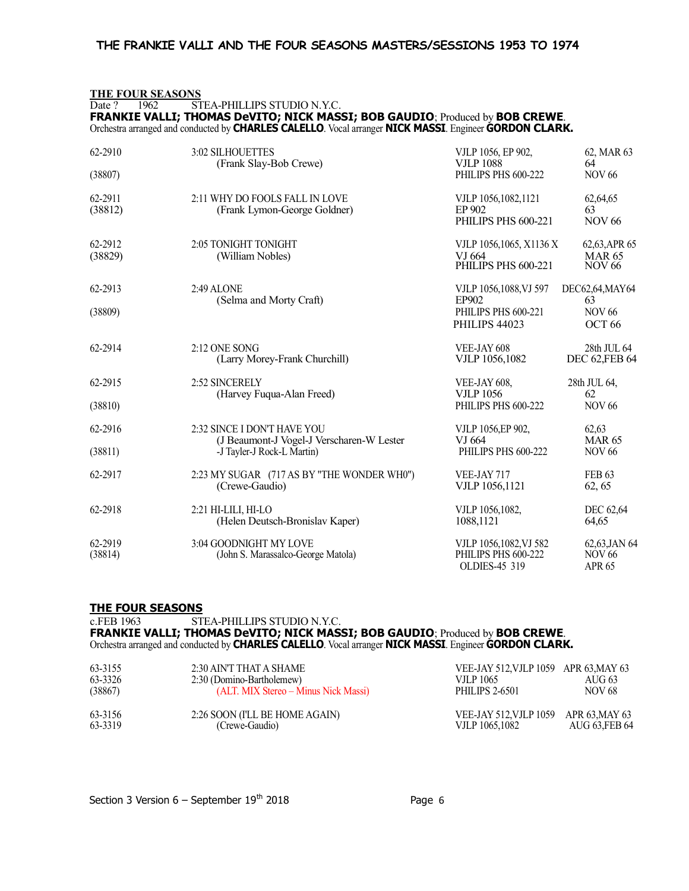# THE FOUR SEASONS Date ? 1962 STEA-PHILLIPS STUDIO N.Y.C.

FRANKIE VALLI; THOMAS DeVITO; NICK MASSI; BOB GAUDIO; Produced by BOB CREWE. Orchestra arranged and conducted by CHARLES CALELLO. Vocal arranger NICK MASSI. Engineer GORDON CLARK.

| 62-2910            | 3:02 SILHOUETTES                                               | VJLP 1056, EP 902,                                             | 62, MAR 63                                         |
|--------------------|----------------------------------------------------------------|----------------------------------------------------------------|----------------------------------------------------|
|                    | (Frank Slay-Bob Crewe)                                         | <b>VJLP 1088</b>                                               | 64                                                 |
| (38807)            |                                                                | PHILIPS PHS 600-222                                            | <b>NOV 66</b>                                      |
| 62-2911<br>(38812) | 2:11 WHY DO FOOLS FALL IN LOVE<br>(Frank Lymon-George Goldner) | VJLP 1056,1082,1121<br>EP 902<br>PHILIPS PHS 600-221           | 62,64,65<br>63<br><b>NOV 66</b>                    |
| 62-2912<br>(38829) | 2:05 TONIGHT TONIGHT<br>(William Nobles)                       | VJLP 1056,1065, X1136 X<br>VJ 664<br>PHILIPS PHS 600-221       | 62,63, APR 65<br><b>MAR 65</b><br><b>NOV 66</b>    |
| 62-2913            | 2:49 ALONE                                                     | VJLP 1056,1088, VJ 597                                         | DEC62,64, MAY64                                    |
|                    | (Selma and Morty Craft)                                        | EP902                                                          | 63                                                 |
| (38809)            |                                                                | PHILIPS PHS 600-221<br>PHILIPS 44023                           | <b>NOV 66</b><br>OCT <sub>66</sub>                 |
| 62-2914            | 2:12 ONE SONG                                                  | VEE-JAY 608                                                    | 28th JUL 64                                        |
|                    | (Larry Morey-Frank Churchill)                                  | VJLP 1056,1082                                                 | <b>DEC 62, FEB 64</b>                              |
| 62-2915            | 2:52 SINCERELY                                                 | VEE-JAY 608,                                                   | 28th JUL 64,                                       |
|                    | (Harvey Fuqua-Alan Freed)                                      | <b>VJLP</b> 1056                                               | 62                                                 |
| (38810)            |                                                                | PHILIPS PHS 600-222                                            | <b>NOV 66</b>                                      |
| 62-2916            | 2:32 SINCE I DON'T HAVE YOU                                    | VJLP 1056,EP 902,                                              | 62,63                                              |
|                    | (J Beaumont-J Vogel-J Verscharen-W Lester                      | VJ 664                                                         | <b>MAR 65</b>                                      |
| (38811)            | -J Tayler-J Rock-L Martin)                                     | PHILIPS PHS 600-222                                            | <b>NOV 66</b>                                      |
| 62-2917            | 2:23 MY SUGAR (717 AS BY "THE WONDER WH0")                     | VEE-JAY 717                                                    | FEB 63                                             |
|                    | (Crewe-Gaudio)                                                 | VJLP 1056,1121                                                 | 62, 65                                             |
| 62-2918            | 2:21 HI-LILI, HI-LO                                            | VJLP 1056,1082,                                                | DEC 62,64                                          |
|                    | (Helen Deutsch-Bronislav Kaper)                                | 1088,1121                                                      | 64,65                                              |
| 62-2919<br>(38814) | 3:04 GOODNIGHT MY LOVE<br>(John S. Marassalco-George Matola)   | VJLP 1056,1082, VJ 582<br>PHILIPS PHS 600-222<br>OLDIES-45 319 | 62,63,JAN 64<br><b>NOV 66</b><br>APR <sub>65</sub> |

## THE FOUR SEASONS

c.FEB 1963 STEA-PHILLIPS STUDIO N.Y.C.

FRANKIE VALLI; THOMAS DeVITO; NICK MASSI; BOB GAUDIO; Produced by BOB CREWE. Orchestra arranged and conducted by CHARLES CALELLO. Vocal arranger NICK MASSI. Engineer GORDON CLARK.

| 63-3155<br>63-3326<br>(38867) | 2:30 AIN'T THAT A SHAME<br>2:30 (Domino-Bartholemew)<br>(ALT. MIX Stereo – Minus Nick Massi) | VEE-JAY 512, VJLP 1059 APR 63, MAY 63<br>V.II.P 1065<br>PHILIPS 2-6501 | AUG 63<br><b>NOV 68</b> |
|-------------------------------|----------------------------------------------------------------------------------------------|------------------------------------------------------------------------|-------------------------|
| 63-3156                       | 2:26 SOON (I'LL BE HOME AGAIN)                                                               | VEE-JAY 512, VJLP 1059                                                 | APR 63.MAY 63           |
| 63-3319                       | (Crewe-Gaudio)                                                                               | VJLP 1065.1082                                                         | AUG 63.FEB 64           |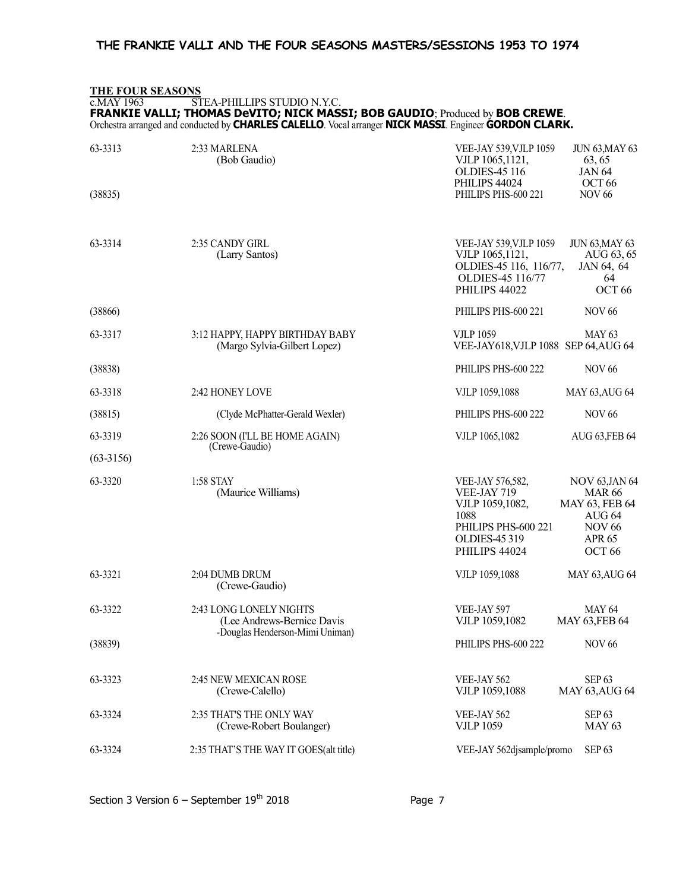# THE FOUR SEASONS

#### c.MAY 1963 STEA-PHILLIPS STUDIO N.Y.C. FRANKIE VALLI; THOMAS DeVITO; NICK MASSI; BOB GAUDIO; Produced by BOB CREWE.

Orchestra arranged and conducted by CHARLES CALELLO. Vocal arranger NICK MASSI. Engineer GORDON CLARK.

| 63-3313     | 2:33 MARLENA<br>(Bob Gaudio)                                                             | VEE-JAY 539, VJLP 1059<br><b>JUN 63, MAY 63</b><br>VJLP 1065,1121,<br>63, 65<br><b>OLDIES-45 116</b><br><b>JAN 64</b>                                                                                                                                              |
|-------------|------------------------------------------------------------------------------------------|--------------------------------------------------------------------------------------------------------------------------------------------------------------------------------------------------------------------------------------------------------------------|
| (38835)     |                                                                                          | PHILIPS 44024<br>OCT <sub>66</sub><br><b>NOV 66</b><br>PHILIPS PHS-600 221                                                                                                                                                                                         |
| 63-3314     | 2:35 CANDY GIRL<br>(Larry Santos)                                                        | VEE-JAY 539, VJLP 1059<br><b>JUN 63, MAY 63</b><br>VJLP 1065,1121,<br>AUG 63, 65<br>OLDIES-45 116, 116/77,<br>JAN 64, 64<br>OLDIES-45 116/77<br>64<br>OCT <sub>66</sub><br>PHILIPS 44022                                                                           |
| (38866)     |                                                                                          | PHILIPS PHS-600 221<br><b>NOV 66</b>                                                                                                                                                                                                                               |
| 63-3317     | 3:12 HAPPY, HAPPY BIRTHDAY BABY<br>(Margo Sylvia-Gilbert Lopez)                          | <b>VJLP 1059</b><br><b>MAY 63</b><br>VEE-JAY618, VJLP 1088 SEP 64, AUG 64                                                                                                                                                                                          |
| (38838)     |                                                                                          | PHILIPS PHS-600 222<br><b>NOV 66</b>                                                                                                                                                                                                                               |
| 63-3318     | 2:42 HONEY LOVE                                                                          | VJLP 1059,1088<br><b>MAY 63, AUG 64</b>                                                                                                                                                                                                                            |
| (38815)     | (Clyde McPhatter-Gerald Wexler)                                                          | <b>NOV 66</b><br>PHILIPS PHS-600 222                                                                                                                                                                                                                               |
| 63-3319     | 2:26 SOON (I'LL BE HOME AGAIN)<br>(Crewe-Gaudio)                                         | VJLP 1065,1082<br>AUG 63, FEB 64                                                                                                                                                                                                                                   |
| $(63-3156)$ |                                                                                          |                                                                                                                                                                                                                                                                    |
| 63-3320     | 1:58 STAY<br>(Maurice Williams)                                                          | <b>NOV 63, JAN 64</b><br>VEE-JAY 576,582,<br>VEE-JAY 719<br><b>MAR 66</b><br>MAY 63, FEB 64<br>VJLP 1059,1082,<br>1088<br>AUG <sub>64</sub><br>PHILIPS PHS-600 221<br><b>NOV 66</b><br><b>APR 65</b><br><b>OLDIES-45 319</b><br>PHILIPS 44024<br>OCT <sub>66</sub> |
| 63-3321     | 2:04 DUMB DRUM<br>(Crewe-Gaudio)                                                         | VJLP 1059,1088<br><b>MAY 63, AUG 64</b>                                                                                                                                                                                                                            |
| 63-3322     | 2:43 LONG LONELY NIGHTS<br>(Lee Andrews-Bernice Davis<br>-Douglas Henderson-Mimi Uniman) | <b>MAY 64</b><br>VEE-JAY 597<br>VJLP 1059,1082<br><b>MAY 63, FEB 64</b>                                                                                                                                                                                            |
| (38839)     |                                                                                          | PHILIPS PHS-600 222<br>NOV 66                                                                                                                                                                                                                                      |
| 63-3323     | 2:45 NEW MEXICAN ROSE<br>(Crewe-Calello)                                                 | SEP <sub>63</sub><br>VEE-JAY 562<br>VJLP 1059,1088<br><b>MAY 63, AUG 64</b>                                                                                                                                                                                        |
| 63-3324     | 2:35 THAT'S THE ONLY WAY<br>(Crewe-Robert Boulanger)                                     | SEP <sub>63</sub><br>VEE-JAY 562<br><b>MAY 63</b><br><b>VJLP 1059</b>                                                                                                                                                                                              |
| 63-3324     | 2:35 THAT'S THE WAY IT GOES(alt title)                                                   | SEP <sub>63</sub><br>VEE-JAY 562djsample/promo                                                                                                                                                                                                                     |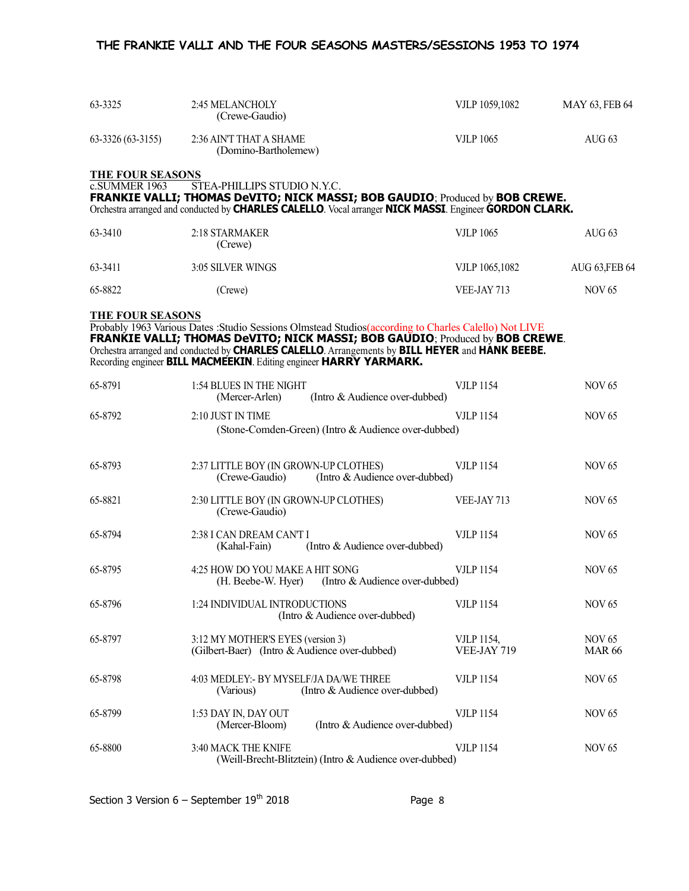| 63-3325                 | 2:45 MELANCHOLY<br>(Crewe-Gaudio)               | VJLP 1059,1082 | MAY 63, FEB 64 |  |
|-------------------------|-------------------------------------------------|----------------|----------------|--|
| 63-3326 (63-3155)       | 2:36 AIN'T THAT A SHAME<br>(Domino-Bartholemew) | VJLP 1065      | AUG 63         |  |
| <b>THE FOUR SEASONS</b> |                                                 |                |                |  |
| 0 CI IMMED 1062         | <b>CTEA DUILLIDE CTHINIO MVC</b>                |                |                |  |

c.SUMMER 1963 STEA-PHILLIPS STUDIO N.Y.C. FRANKIE VALLI; THOMAS DeVITO; NICK MASSI; BOB GAUDIO; Produced by BOB CREWE. Orchestra arranged and conducted by CHARLES CALELLO. Vocal arranger NICK MASSI. Engineer GORDON CLARK.

| 63-3410 | 2:18 STARMAKER<br>(Crewe) | <b>VJLP 1065</b> | AUG $63$       |
|---------|---------------------------|------------------|----------------|
| 63-3411 | 3:05 SILVER WINGS         | VJLP 1065,1082   | AUG 63, FEB 64 |
| 65-8822 | (Crewe)                   | VEE-JAY 713      | NOV 65         |

THE FOUR SEASONS

Probably 1963 Various Dates :Studio Sessions Olmstead Studios(according to Charles Calello) Not LIVE FRANKIE VALLI; THOMAS DeVITO; NICK MASSI; BOB GAUDIO; Produced by BOB CREWE. Orchestra arranged and conducted by CHARLES CALELLO. Arrangements by BILL HEYER and HANK BEEBE. Recording engineer **BILL MACMEEKIN**. Editing engineer HARRY YARMARK.

| 65-8791 | 1:54 BLUES IN THE NIGHT<br>(Intro & Audience over-dubbed)<br>(Mercer-Arlen)               | <b>VJLP 1154</b>                 | <b>NOV 65</b>                  |
|---------|-------------------------------------------------------------------------------------------|----------------------------------|--------------------------------|
| 65-8792 | 2:10 JUST IN TIME<br>(Stone-Comden-Green) (Intro & Audience over-dubbed)                  | <b>VJLP 1154</b>                 | <b>NOV 65</b>                  |
| 65-8793 | 2:37 LITTLE BOY (IN GROWN-UP CLOTHES)<br>(Intro & Audience over-dubbed)<br>(Crewe-Gaudio) | <b>VJLP 1154</b>                 | <b>NOV 65</b>                  |
| 65-8821 | 2:30 LITTLE BOY (IN GROWN-UP CLOTHES)<br>(Crewe-Gaudio)                                   | VEE-JAY 713                      | <b>NOV 65</b>                  |
| 65-8794 | 2:38 I CAN DREAM CAN'T I<br>(Intro & Audience over-dubbed)<br>(Kahal-Fain)                | <b>VJLP 1154</b>                 | <b>NOV 65</b>                  |
| 65-8795 | 4:25 HOW DO YOU MAKE A HIT SONG<br>(Intro & Audience over-dubbed)<br>(H. Beebe-W. Hyer)   | <b>VJLP 1154</b>                 | <b>NOV 65</b>                  |
| 65-8796 | 1:24 INDIVIDUAL INTRODUCTIONS<br>(Intro & Audience over-dubbed)                           | <b>VJLP 1154</b>                 | <b>NOV 65</b>                  |
| 65-8797 | 3:12 MY MOTHER'S EYES (version 3)<br>(Gilbert-Baer) (Intro & Audience over-dubbed)        | <b>VJLP 1154,</b><br>VEE-JAY 719 | <b>NOV 65</b><br><b>MAR 66</b> |
| 65-8798 | 4:03 MEDLEY: - BY MYSELF/JA DA/WE THREE<br>(Intro & Audience over-dubbed)<br>(Various)    | <b>VJLP 1154</b>                 | <b>NOV 65</b>                  |
| 65-8799 | 1:53 DAY IN, DAY OUT<br>(Intro & Audience over-dubbed)<br>(Mercer-Bloom)                  | <b>VJLP 1154</b>                 | <b>NOV 65</b>                  |
| 65-8800 | 3:40 MACK THE KNIFE<br>(Weill-Brecht-Blitztein) (Intro & Audience over-dubbed)            | <b>VJLP 1154</b>                 | <b>NOV 65</b>                  |